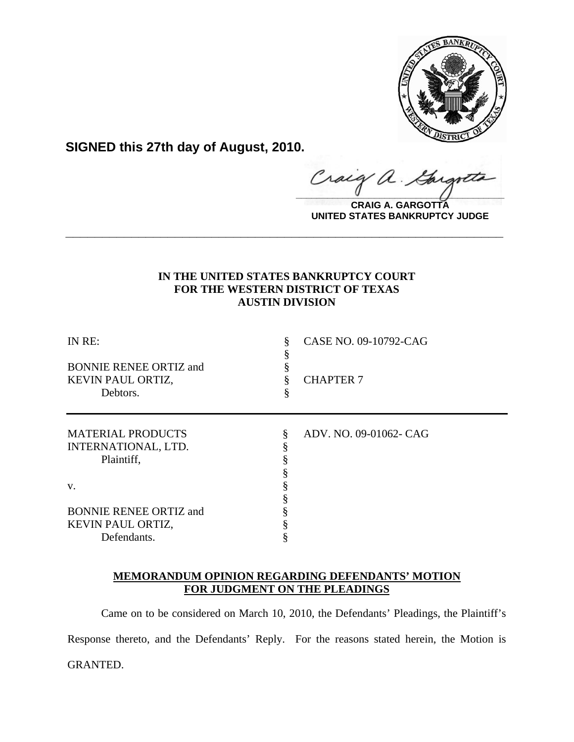

**SIGNED this 27th day of August, 2010.**

raig a.  $\frac{1}{2}$ 

**CRAIG A. GARGOTTA UNITED STATES BANKRUPTCY JUDGE**

# **IN THE UNITED STATES BANKRUPTCY COURT FOR THE WESTERN DISTRICT OF TEXAS AUSTIN DIVISION**

**\_\_\_\_\_\_\_\_\_\_\_\_\_\_\_\_\_\_\_\_\_\_\_\_\_\_\_\_\_\_\_\_\_\_\_\_\_\_\_\_\_\_\_\_\_\_\_\_\_\_\_\_\_\_\_\_\_\_\_\_**

| IN RE:<br><b>BONNIE RENEE ORTIZ and</b><br>KEVIN PAUL ORTIZ,<br>Debtors. |   | CASE NO. 09-10792-CAG<br><b>CHAPTER 7</b> |
|--------------------------------------------------------------------------|---|-------------------------------------------|
| <b>MATERIAL PRODUCTS</b>                                                 | § | ADV. NO. 09-01062- CAG                    |
| INTERNATIONAL, LTD.                                                      |   |                                           |
| Plaintiff,                                                               |   |                                           |
|                                                                          |   |                                           |
| V.                                                                       |   |                                           |
|                                                                          |   |                                           |
| <b>BONNIE RENEE ORTIZ and</b>                                            |   |                                           |
| KEVIN PAUL ORTIZ,                                                        |   |                                           |
| Defendants.                                                              |   |                                           |

# **MEMORANDUM OPINION REGARDING DEFENDANTS' MOTION FOR JUDGMENT ON THE PLEADINGS**

Came on to be considered on March 10, 2010, the Defendants' Pleadings, the Plaintiff's Response thereto, and the Defendants' Reply. For the reasons stated herein, the Motion is GRANTED.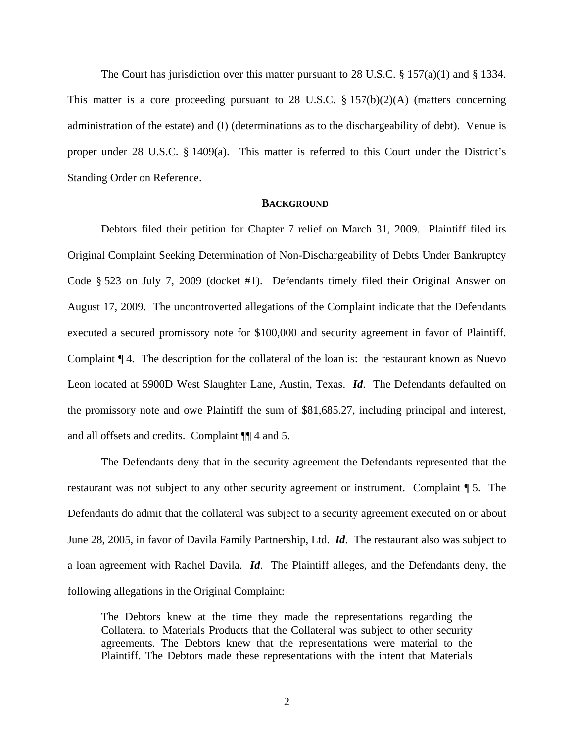The Court has jurisdiction over this matter pursuant to 28 U.S.C.  $\S 157(a)(1)$  and  $\S 1334$ . This matter is a core proceeding pursuant to 28 U.S.C.  $\S 157(b)(2)(A)$  (matters concerning administration of the estate) and (I) (determinations as to the dischargeability of debt). Venue is proper under 28 U.S.C. § 1409(a). This matter is referred to this Court under the District's Standing Order on Reference.

## **BACKGROUND**

Debtors filed their petition for Chapter 7 relief on March 31, 2009. Plaintiff filed its Original Complaint Seeking Determination of Non-Dischargeability of Debts Under Bankruptcy Code § 523 on July 7, 2009 (docket #1). Defendants timely filed their Original Answer on August 17, 2009. The uncontroverted allegations of the Complaint indicate that the Defendants executed a secured promissory note for \$100,000 and security agreement in favor of Plaintiff. Complaint ¶ 4. The description for the collateral of the loan is: the restaurant known as Nuevo Leon located at 5900D West Slaughter Lane, Austin, Texas. *Id*. The Defendants defaulted on the promissory note and owe Plaintiff the sum of \$81,685.27, including principal and interest, and all offsets and credits. Complaint ¶¶ 4 and 5.

The Defendants deny that in the security agreement the Defendants represented that the restaurant was not subject to any other security agreement or instrument. Complaint ¶ 5. The Defendants do admit that the collateral was subject to a security agreement executed on or about June 28, 2005, in favor of Davila Family Partnership, Ltd. *Id*. The restaurant also was subject to a loan agreement with Rachel Davila. *Id*. The Plaintiff alleges, and the Defendants deny, the following allegations in the Original Complaint:

The Debtors knew at the time they made the representations regarding the Collateral to Materials Products that the Collateral was subject to other security agreements. The Debtors knew that the representations were material to the Plaintiff. The Debtors made these representations with the intent that Materials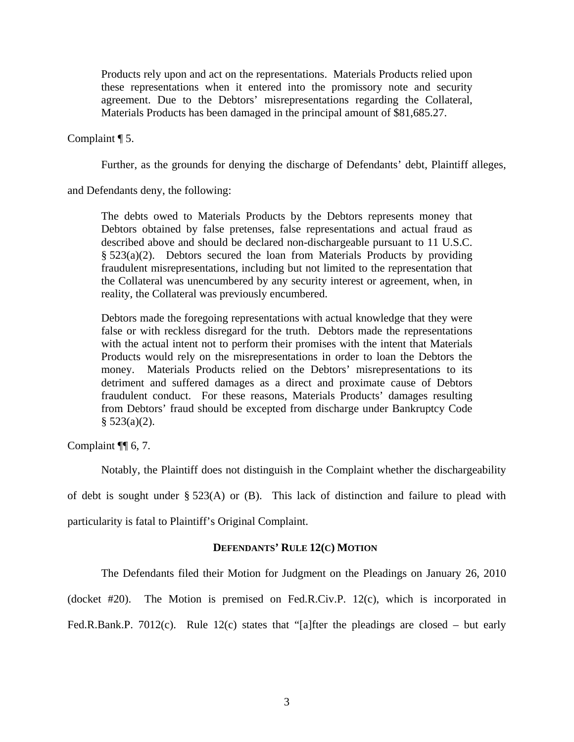Products rely upon and act on the representations. Materials Products relied upon these representations when it entered into the promissory note and security agreement. Due to the Debtors' misrepresentations regarding the Collateral, Materials Products has been damaged in the principal amount of \$81,685.27.

Complaint ¶ 5.

Further, as the grounds for denying the discharge of Defendants' debt, Plaintiff alleges,

and Defendants deny, the following:

The debts owed to Materials Products by the Debtors represents money that Debtors obtained by false pretenses, false representations and actual fraud as described above and should be declared non-dischargeable pursuant to 11 U.S.C. § 523(a)(2). Debtors secured the loan from Materials Products by providing fraudulent misrepresentations, including but not limited to the representation that the Collateral was unencumbered by any security interest or agreement, when, in reality, the Collateral was previously encumbered.

Debtors made the foregoing representations with actual knowledge that they were false or with reckless disregard for the truth. Debtors made the representations with the actual intent not to perform their promises with the intent that Materials Products would rely on the misrepresentations in order to loan the Debtors the money. Materials Products relied on the Debtors' misrepresentations to its detriment and suffered damages as a direct and proximate cause of Debtors fraudulent conduct. For these reasons, Materials Products' damages resulting from Debtors' fraud should be excepted from discharge under Bankruptcy Code  $§ 523(a)(2).$ 

Complaint ¶¶ 6, 7.

Notably, the Plaintiff does not distinguish in the Complaint whether the dischargeability

of debt is sought under § 523(A) or (B). This lack of distinction and failure to plead with

particularity is fatal to Plaintiff's Original Complaint.

### **DEFENDANTS' RULE 12(C) MOTION**

The Defendants filed their Motion for Judgment on the Pleadings on January 26, 2010

(docket #20). The Motion is premised on Fed.R.Civ.P. 12(c), which is incorporated in

Fed.R.Bank.P. 7012(c). Rule 12(c) states that "[a]fter the pleadings are closed – but early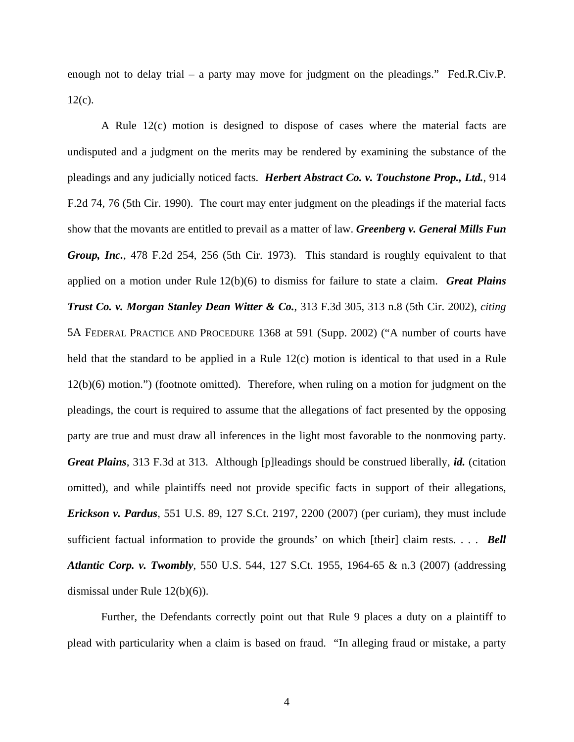enough not to delay trial – a party may move for judgment on the pleadings." Fed.R.Civ.P. 12(c).

A Rule 12(c) motion is designed to dispose of cases where the material facts are undisputed and a judgment on the merits may be rendered by examining the substance of the pleadings and any judicially noticed facts. *Herbert Abstract Co. v. Touchstone Prop., Ltd.*, 914 F.2d 74, 76 (5th Cir. 1990). The court may enter judgment on the pleadings if the material facts show that the movants are entitled to prevail as a matter of law. *Greenberg v. General Mills Fun Group, Inc.*, 478 F.2d 254, 256 (5th Cir. 1973). This standard is roughly equivalent to that applied on a motion under Rule 12(b)(6) to dismiss for failure to state a claim. *Great Plains Trust Co. v. Morgan Stanley Dean Witter & Co.*, 313 F.3d 305, 313 n.8 (5th Cir. 2002), *citing*  5A FEDERAL PRACTICE AND PROCEDURE 1368 at 591 (Supp. 2002) ("A number of courts have held that the standard to be applied in a Rule 12(c) motion is identical to that used in a Rule 12(b)(6) motion.") (footnote omitted). Therefore, when ruling on a motion for judgment on the pleadings, the court is required to assume that the allegations of fact presented by the opposing party are true and must draw all inferences in the light most favorable to the nonmoving party. *Great Plains*, 313 F.3d at 313. Although [p]leadings should be construed liberally, *id.* (citation omitted), and while plaintiffs need not provide specific facts in support of their allegations, *Erickson v. Pardus*, 551 U.S. 89, 127 S.Ct. 2197, 2200 (2007) (per curiam), they must include sufficient factual information to provide the grounds' on which [their] claim rests. . . . *Bell Atlantic Corp. v. Twombly*, 550 U.S. 544, 127 S.Ct. 1955, 1964-65 & n.3 (2007) (addressing dismissal under Rule 12(b)(6)).

Further, the Defendants correctly point out that Rule 9 places a duty on a plaintiff to plead with particularity when a claim is based on fraud. "In alleging fraud or mistake, a party

4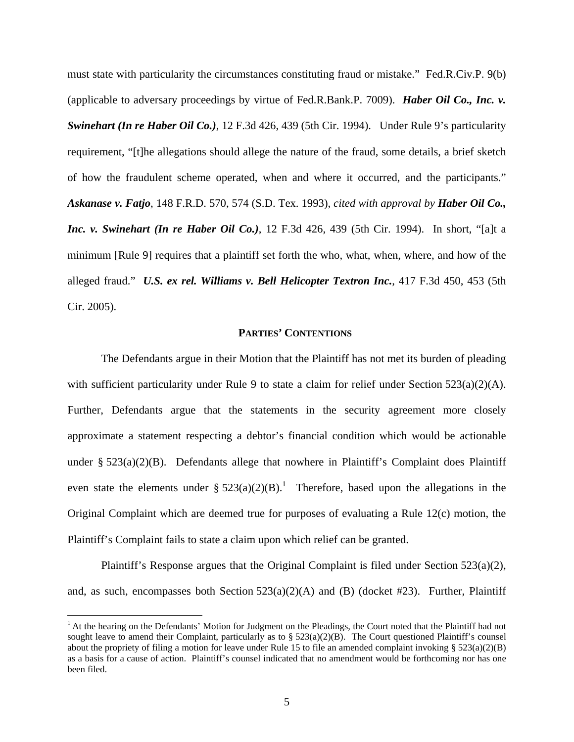must state with particularity the circumstances constituting fraud or mistake." Fed.R.Civ.P. 9(b) (applicable to adversary proceedings by virtue of Fed.R.Bank.P. 7009). *Haber Oil Co., Inc. v. Swinehart (In re Haber Oil Co.)*, 12 F.3d 426, 439 (5th Cir. 1994). Under Rule 9's particularity requirement, "[t]he allegations should allege the nature of the fraud, some details, a brief sketch of how the fraudulent scheme operated, when and where it occurred, and the participants." *Askanase v. Fatjo*, 148 F.R.D. 570, 574 (S.D. Tex. 1993), *cited with approval by Haber Oil Co., Inc. v. Swinehart (In re Haber Oil Co.)*, 12 F.3d 426, 439 (5th Cir. 1994). In short, "[a]t a minimum [Rule 9] requires that a plaintiff set forth the who, what, when, where, and how of the alleged fraud." *U.S. ex rel. Williams v. Bell Helicopter Textron Inc.*, 417 F.3d 450, 453 (5th Cir. 2005).

# **PARTIES' CONTENTIONS**

The Defendants argue in their Motion that the Plaintiff has not met its burden of pleading with sufficient particularity under Rule 9 to state a claim for relief under Section 523(a)(2)(A). Further, Defendants argue that the statements in the security agreement more closely approximate a statement respecting a debtor's financial condition which would be actionable under §  $523(a)(2)(B)$ . Defendants allege that nowhere in Plaintiff's Complaint does Plaintiff even state the elements under §  $523(a)(2)(B)$ .<sup>1</sup> Therefore, based upon the allegations in the Original Complaint which are deemed true for purposes of evaluating a Rule 12(c) motion, the Plaintiff's Complaint fails to state a claim upon which relief can be granted.

Plaintiff's Response argues that the Original Complaint is filed under Section 523(a)(2), and, as such, encompasses both Section  $523(a)(2)(A)$  and (B) (docket #23). Further, Plaintiff

 $\overline{a}$ 

<sup>&</sup>lt;sup>1</sup> At the hearing on the Defendants' Motion for Judgment on the Pleadings, the Court noted that the Plaintiff had not sought leave to amend their Complaint, particularly as to  $\S$  523(a)(2)(B). The Court questioned Plaintiff's counsel about the propriety of filing a motion for leave under Rule 15 to file an amended complaint invoking §  $523(a)(2)(B)$ as a basis for a cause of action. Plaintiff's counsel indicated that no amendment would be forthcoming nor has one been filed.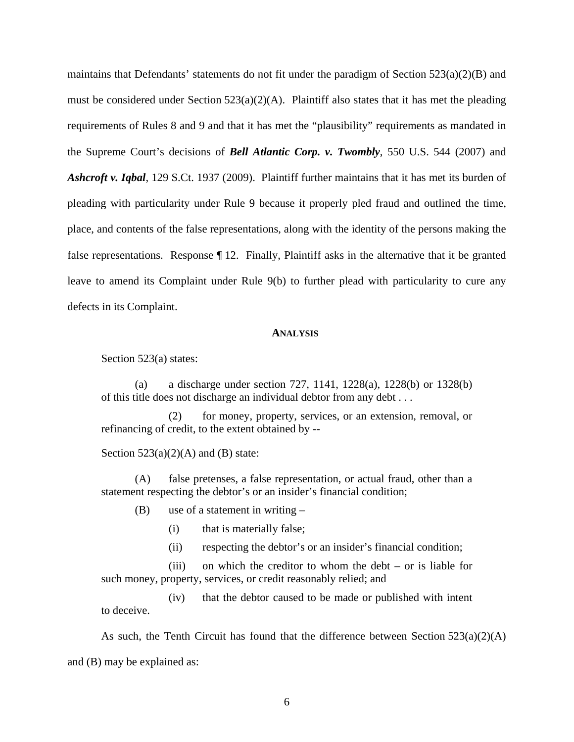maintains that Defendants' statements do not fit under the paradigm of Section 523(a)(2)(B) and must be considered under Section  $523(a)(2)(A)$ . Plaintiff also states that it has met the pleading requirements of Rules 8 and 9 and that it has met the "plausibility" requirements as mandated in the Supreme Court's decisions of *Bell Atlantic Corp. v. Twombly*, 550 U.S. 544 (2007) and *Ashcroft v. Iqbal*, 129 S.Ct. 1937 (2009). Plaintiff further maintains that it has met its burden of pleading with particularity under Rule 9 because it properly pled fraud and outlined the time, place, and contents of the false representations, along with the identity of the persons making the false representations. Response ¶ 12. Finally, Plaintiff asks in the alternative that it be granted leave to amend its Complaint under Rule 9(b) to further plead with particularity to cure any defects in its Complaint.

#### **ANALYSIS**

Section 523(a) states:

(a) a discharge under section 727, 1141, 1228(a), 1228(b) or 1328(b) of this title does not discharge an individual debtor from any debt . . .

 (2) for money, property, services, or an extension, removal, or refinancing of credit, to the extent obtained by --

Section  $523(a)(2)(A)$  and (B) state:

(A) false pretenses, a false representation, or actual fraud, other than a statement respecting the debtor's or an insider's financial condition;

(B) use of a statement in writing –

(i) that is materially false;

(ii) respecting the debtor's or an insider's financial condition;

 (iii) on which the creditor to whom the debt – or is liable for such money, property, services, or credit reasonably relied; and

 (iv) that the debtor caused to be made or published with intent to deceive.

As such, the Tenth Circuit has found that the difference between Section  $523(a)(2)(A)$ and (B) may be explained as: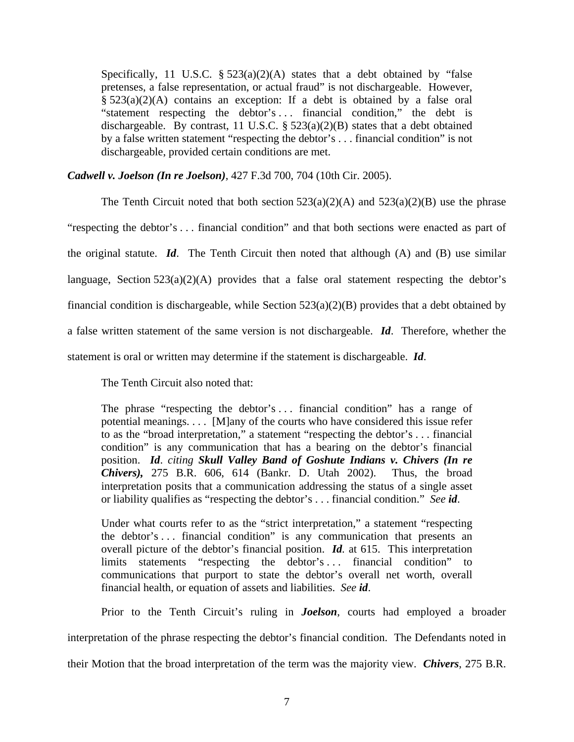Specifically, 11 U.S.C.  $\S 523(a)(2)(A)$  states that a debt obtained by "false pretenses, a false representation, or actual fraud" is not dischargeable. However, § 523(a)(2)(A) contains an exception: If a debt is obtained by a false oral "statement respecting the debtor's . . . financial condition," the debt is dischargeable. By contrast, 11 U.S.C.  $\S$  523(a)(2)(B) states that a debt obtained by a false written statement "respecting the debtor's . . . financial condition" is not dischargeable, provided certain conditions are met.

*Cadwell v. Joelson (In re Joelson)*, 427 F.3d 700, 704 (10th Cir. 2005).

The Tenth Circuit noted that both section  $523(a)(2)(A)$  and  $523(a)(2)(B)$  use the phrase "respecting the debtor's . . . financial condition" and that both sections were enacted as part of the original statute. *Id*. The Tenth Circuit then noted that although (A) and (B) use similar language, Section  $523(a)(2)(A)$  provides that a false oral statement respecting the debtor's financial condition is dischargeable, while Section 523(a)(2)(B) provides that a debt obtained by a false written statement of the same version is not dischargeable. *Id*. Therefore, whether the statement is oral or written may determine if the statement is dischargeable. *Id*.

The Tenth Circuit also noted that:

The phrase "respecting the debtor's ... financial condition" has a range of potential meanings. . . . [M]any of the courts who have considered this issue refer to as the "broad interpretation," a statement "respecting the debtor's . . . financial condition" is any communication that has a bearing on the debtor's financial position. *Id*. *citing Skull Valley Band of Goshute Indians v. Chivers (In re Chivers),* 275 B.R. 606, 614 (Bankr. D. Utah 2002). Thus, the broad interpretation posits that a communication addressing the status of a single asset or liability qualifies as "respecting the debtor's . . . financial condition." *See id*.

Under what courts refer to as the "strict interpretation," a statement "respecting the debtor's . . . financial condition" is any communication that presents an overall picture of the debtor's financial position. *Id.* at 615. This interpretation limits statements "respecting the debtor's . . . financial condition" to communications that purport to state the debtor's overall net worth, overall financial health, or equation of assets and liabilities. *See id*.

Prior to the Tenth Circuit's ruling in *Joelson*, courts had employed a broader

interpretation of the phrase respecting the debtor's financial condition. The Defendants noted in

their Motion that the broad interpretation of the term was the majority view. *Chivers*, 275 B.R.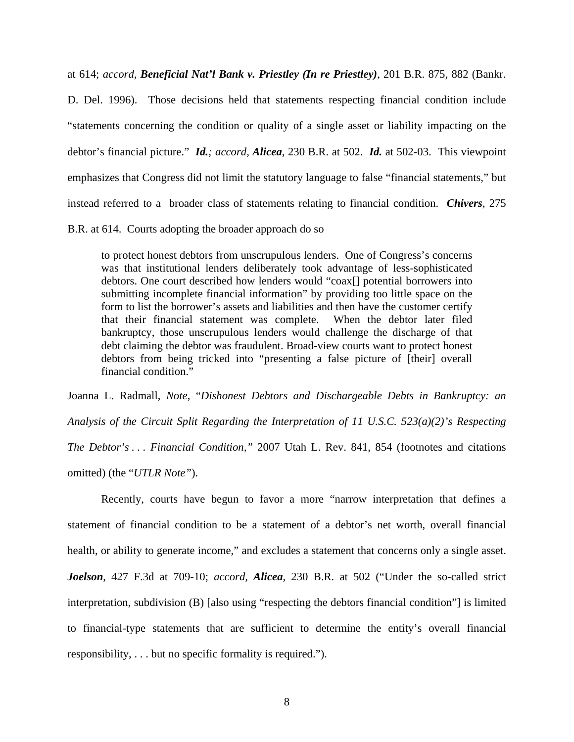at 614; *accord, Beneficial Nat'l Bank v. Priestley (In re Priestley)*, 201 B.R. 875, 882 (Bankr.

D. Del. 1996). Those decisions held that statements respecting financial condition include "statements concerning the condition or quality of a single asset or liability impacting on the debtor's financial picture." *Id.; accord, Alicea*, 230 B.R. at 502. *Id.* at 502-03. This viewpoint emphasizes that Congress did not limit the statutory language to false "financial statements," but instead referred to a broader class of statements relating to financial condition. *Chivers*, 275

B.R. at 614. Courts adopting the broader approach do so

to protect honest debtors from unscrupulous lenders. One of Congress's concerns was that institutional lenders deliberately took advantage of less-sophisticated debtors. One court described how lenders would "coax[] potential borrowers into submitting incomplete financial information" by providing too little space on the form to list the borrower's assets and liabilities and then have the customer certify that their financial statement was complete. When the debtor later filed bankruptcy, those unscrupulous lenders would challenge the discharge of that debt claiming the debtor was fraudulent. Broad-view courts want to protect honest debtors from being tricked into "presenting a false picture of [their] overall financial condition."

Joanna L. Radmall, *Note*, "*Dishonest Debtors and Dischargeable Debts in Bankruptcy: an Analysis of the Circuit Split Regarding the Interpretation of 11 U.S.C. 523(a)(2)'s Respecting The Debtor's . . . Financial Condition,"* 2007 Utah L. Rev. 841, 854 (footnotes and citations omitted) (the "*UTLR Note"*).

Recently, courts have begun to favor a more "narrow interpretation that defines a statement of financial condition to be a statement of a debtor's net worth, overall financial health, or ability to generate income," and excludes a statement that concerns only a single asset. *Joelson*, 427 F.3d at 709-10; *accord, Alicea*, 230 B.R. at 502 ("Under the so-called strict interpretation, subdivision (B) [also using "respecting the debtors financial condition"] is limited to financial-type statements that are sufficient to determine the entity's overall financial responsibility, . . . but no specific formality is required.").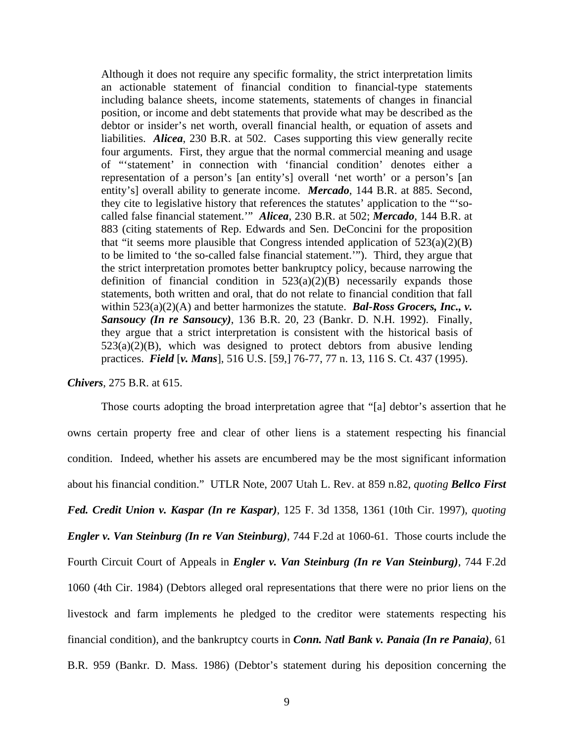Although it does not require any specific formality, the strict interpretation limits an actionable statement of financial condition to financial-type statements including balance sheets, income statements, statements of changes in financial position, or income and debt statements that provide what may be described as the debtor or insider's net worth, overall financial health, or equation of assets and liabilities. *Alicea*, 230 B.R. at 502. Cases supporting this view generally recite four arguments. First, they argue that the normal commercial meaning and usage of "'statement' in connection with 'financial condition' denotes either a representation of a person's [an entity's] overall 'net worth' or a person's [an entity's] overall ability to generate income. *Mercado*, 144 B.R. at 885. Second, they cite to legislative history that references the statutes' application to the "'socalled false financial statement.'" *Alicea*, 230 B.R. at 502; *Mercado*, 144 B.R. at 883 (citing statements of Rep. Edwards and Sen. DeConcini for the proposition that "it seems more plausible that Congress intended application of  $523(a)(2)(B)$ to be limited to 'the so-called false financial statement.'"). Third, they argue that the strict interpretation promotes better bankruptcy policy, because narrowing the definition of financial condition in  $523(a)(2)(B)$  necessarily expands those statements, both written and oral, that do not relate to financial condition that fall within 523(a)(2)(A) and better harmonizes the statute. *Bal-Ross Grocers, Inc., v. Sansoucy (In re Sansoucy)*, 136 B.R. 20, 23 (Bankr. D. N.H. 1992). Finally, they argue that a strict interpretation is consistent with the historical basis of  $523(a)(2)(B)$ , which was designed to protect debtors from abusive lending practices. *Field* [*v. Mans*], 516 U.S. [59,] 76-77, 77 n. 13, 116 S. Ct. 437 (1995).

*Chivers*, 275 B.R. at 615.

Those courts adopting the broad interpretation agree that "[a] debtor's assertion that he owns certain property free and clear of other liens is a statement respecting his financial condition. Indeed, whether his assets are encumbered may be the most significant information about his financial condition." UTLR Note, 2007 Utah L. Rev. at 859 n.82, *quoting Bellco First Fed. Credit Union v. Kaspar (In re Kaspar)*, 125 F. 3d 1358, 1361 (10th Cir. 1997), *quoting Engler v. Van Steinburg (In re Van Steinburg)*, 744 F.2d at 1060-61. Those courts include the Fourth Circuit Court of Appeals in *Engler v. Van Steinburg (In re Van Steinburg)*, 744 F.2d 1060 (4th Cir. 1984) (Debtors alleged oral representations that there were no prior liens on the livestock and farm implements he pledged to the creditor were statements respecting his financial condition), and the bankruptcy courts in *Conn. Natl Bank v. Panaia (In re Panaia)*, 61 B.R. 959 (Bankr. D. Mass. 1986) (Debtor's statement during his deposition concerning the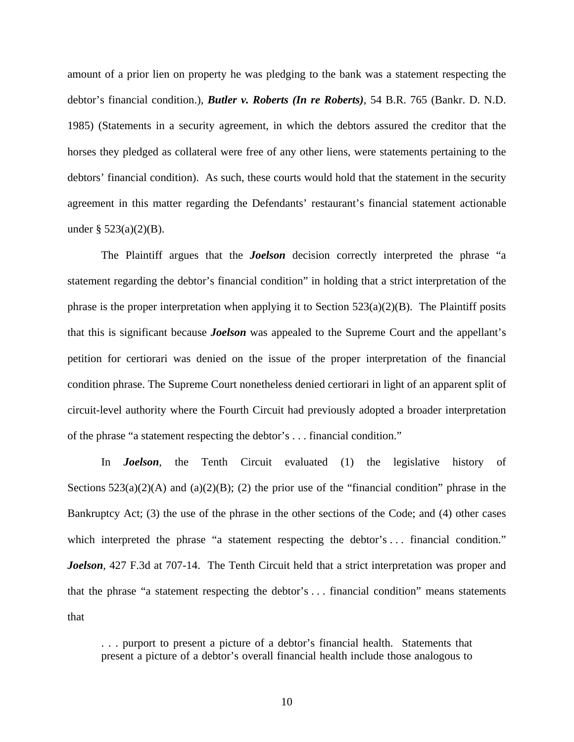amount of a prior lien on property he was pledging to the bank was a statement respecting the debtor's financial condition.), *Butler v. Roberts (In re Roberts)*, 54 B.R. 765 (Bankr. D. N.D. 1985) (Statements in a security agreement, in which the debtors assured the creditor that the horses they pledged as collateral were free of any other liens, were statements pertaining to the debtors' financial condition). As such, these courts would hold that the statement in the security agreement in this matter regarding the Defendants' restaurant's financial statement actionable under  $\S$  523(a)(2)(B).

The Plaintiff argues that the *Joelson* decision correctly interpreted the phrase "a statement regarding the debtor's financial condition" in holding that a strict interpretation of the phrase is the proper interpretation when applying it to Section  $523(a)(2)(B)$ . The Plaintiff posits that this is significant because *Joelson* was appealed to the Supreme Court and the appellant's petition for certiorari was denied on the issue of the proper interpretation of the financial condition phrase. The Supreme Court nonetheless denied certiorari in light of an apparent split of circuit-level authority where the Fourth Circuit had previously adopted a broader interpretation of the phrase "a statement respecting the debtor's . . . financial condition."

In *Joelson,* the Tenth Circuit evaluated (1) the legislative history of Sections  $523(a)(2)(A)$  and  $(a)(2)(B)$ ; (2) the prior use of the "financial condition" phrase in the Bankruptcy Act; (3) the use of the phrase in the other sections of the Code; and (4) other cases which interpreted the phrase "a statement respecting the debtor's ... financial condition." *Joelson*, 427 F.3d at 707-14. The Tenth Circuit held that a strict interpretation was proper and that the phrase "a statement respecting the debtor's . . . financial condition" means statements that

. . . purport to present a picture of a debtor's financial health. Statements that present a picture of a debtor's overall financial health include those analogous to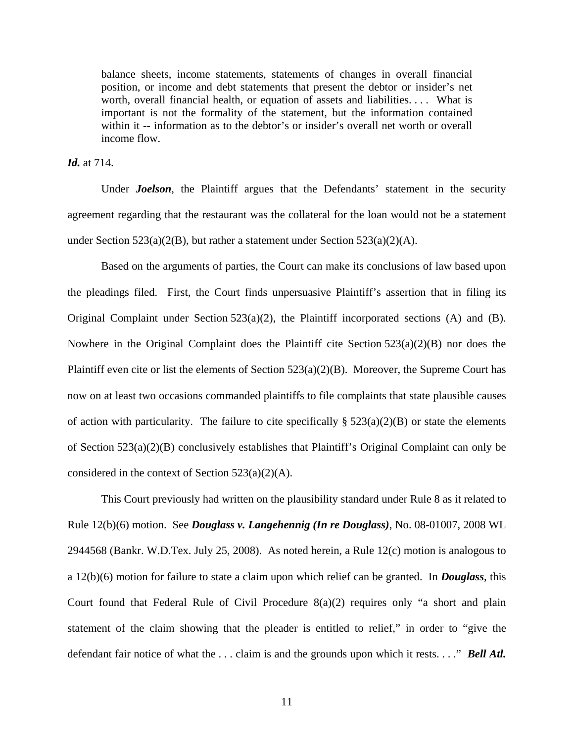balance sheets, income statements, statements of changes in overall financial position, or income and debt statements that present the debtor or insider's net worth, overall financial health, or equation of assets and liabilities. . . . What is important is not the formality of the statement, but the information contained within it -- information as to the debtor's or insider's overall net worth or overall income flow.

## *Id.* at 714.

Under *Joelson*, the Plaintiff argues that the Defendants' statement in the security agreement regarding that the restaurant was the collateral for the loan would not be a statement under Section 523(a)(2(B), but rather a statement under Section 523(a)(2)(A).

Based on the arguments of parties, the Court can make its conclusions of law based upon the pleadings filed. First, the Court finds unpersuasive Plaintiff's assertion that in filing its Original Complaint under Section 523(a)(2), the Plaintiff incorporated sections (A) and (B). Nowhere in the Original Complaint does the Plaintiff cite Section 523(a)(2)(B) nor does the Plaintiff even cite or list the elements of Section 523(a)(2)(B). Moreover, the Supreme Court has now on at least two occasions commanded plaintiffs to file complaints that state plausible causes of action with particularity. The failure to cite specifically  $\S 523(a)(2)(B)$  or state the elements of Section 523(a)(2)(B) conclusively establishes that Plaintiff's Original Complaint can only be considered in the context of Section 523(a)(2)(A).

This Court previously had written on the plausibility standard under Rule 8 as it related to Rule 12(b)(6) motion. See *Douglass v. Langehennig (In re Douglass)*, No. 08-01007, 2008 WL 2944568 (Bankr. W.D.Tex. July 25, 2008). As noted herein, a Rule 12(c) motion is analogous to a 12(b)(6) motion for failure to state a claim upon which relief can be granted. In *Douglass*, this Court found that Federal Rule of Civil Procedure 8(a)(2) requires only "a short and plain statement of the claim showing that the pleader is entitled to relief," in order to "give the defendant fair notice of what the . . . claim is and the grounds upon which it rests. . . ." *Bell Atl.*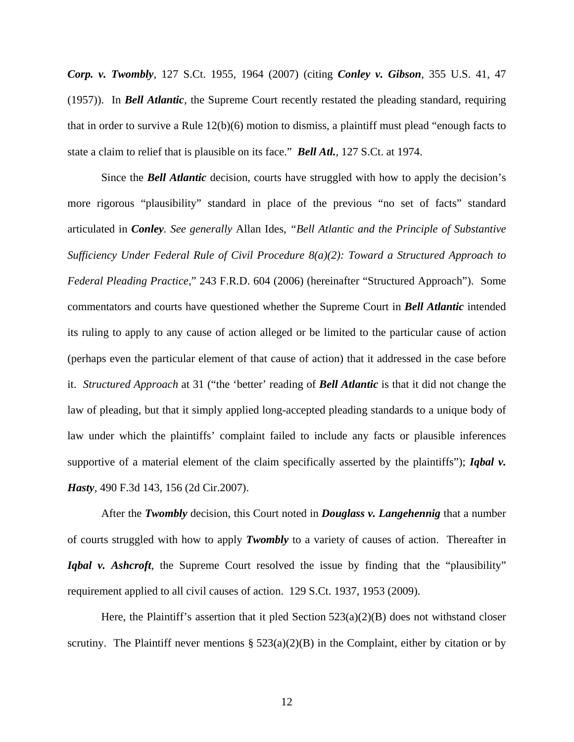*Corp. v. Twombly,* 127 S.Ct. 1955, 1964 (2007) (citing *Conley v. Gibson,* 355 U.S. 41, 47 (1957)). In *Bell Atlantic,* the Supreme Court recently restated the pleading standard, requiring that in order to survive a Rule 12(b)(6) motion to dismiss, a plaintiff must plead "enough facts to state a claim to relief that is plausible on its face." *Bell Atl.,* 127 S.Ct. at 1974.

Since the *Bell Atlantic* decision, courts have struggled with how to apply the decision's more rigorous "plausibility" standard in place of the previous "no set of facts" standard articulated in *Conley. See generally* Allan Ides, *"Bell Atlantic and the Principle of Substantive Sufficiency Under Federal Rule of Civil Procedure 8(a)(2): Toward a Structured Approach to Federal Pleading Practice,*" 243 F.R.D. 604 (2006) (hereinafter "Structured Approach"). Some commentators and courts have questioned whether the Supreme Court in *Bell Atlantic* intended its ruling to apply to any cause of action alleged or be limited to the particular cause of action (perhaps even the particular element of that cause of action) that it addressed in the case before it. *Structured Approach* at 31 ("the 'better' reading of *Bell Atlantic* is that it did not change the law of pleading, but that it simply applied long-accepted pleading standards to a unique body of law under which the plaintiffs' complaint failed to include any facts or plausible inferences supportive of a material element of the claim specifically asserted by the plaintiffs"); *Igbal v. Hasty,* 490 F.3d 143, 156 (2d Cir.2007).

After the *Twombly* decision, this Court noted in *Douglass v. Langehennig* that a number of courts struggled with how to apply *Twombly* to a variety of causes of action. Thereafter in *Iqbal v. Ashcroft*, the Supreme Court resolved the issue by finding that the "plausibility" requirement applied to all civil causes of action. 129 S.Ct. 1937, 1953 (2009).

Here, the Plaintiff's assertion that it pled Section  $523(a)(2)(B)$  does not withstand closer scrutiny. The Plaintiff never mentions  $\S 523(a)(2)(B)$  in the Complaint, either by citation or by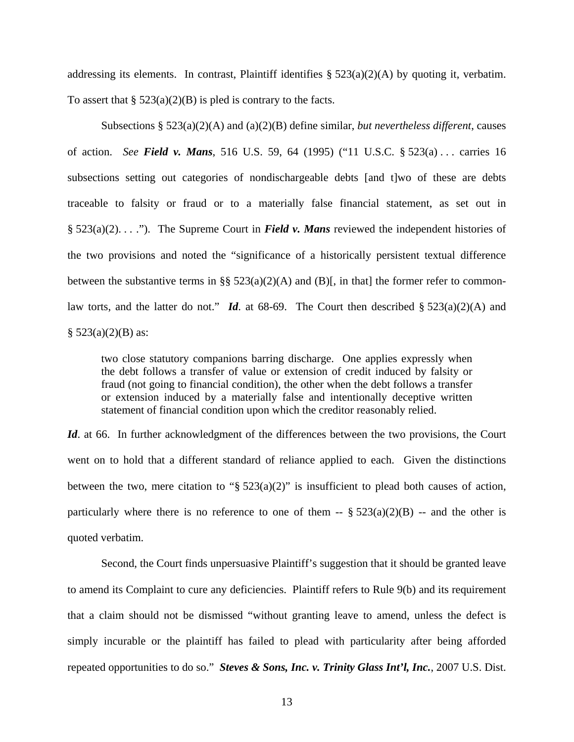addressing its elements. In contrast, Plaintiff identifies  $\S 523(a)(2)(A)$  by quoting it, verbatim. To assert that  $\S$  523(a)(2)(B) is pled is contrary to the facts.

Subsections § 523(a)(2)(A) and (a)(2)(B) define similar, *but nevertheless different*, causes of action. *See Field v. Mans*, 516 U.S. 59, 64 (1995) ("11 U.S.C. § 523(a) . . . carries 16 subsections setting out categories of nondischargeable debts [and t]wo of these are debts traceable to falsity or fraud or to a materially false financial statement, as set out in § 523(a)(2). . . ."). The Supreme Court in *Field v. Mans* reviewed the independent histories of the two provisions and noted the "significance of a historically persistent textual difference between the substantive terms in §§  $523(a)(2)(A)$  and (B)[, in that] the former refer to commonlaw torts, and the latter do not." *Id*. at 68-69. The Court then described § 523(a)(2)(A) and  $§ 523(a)(2)(B)$  as:

two close statutory companions barring discharge. One applies expressly when the debt follows a transfer of value or extension of credit induced by falsity or fraud (not going to financial condition), the other when the debt follows a transfer or extension induced by a materially false and intentionally deceptive written statement of financial condition upon which the creditor reasonably relied.

*Id.* at 66. In further acknowledgment of the differences between the two provisions, the Court went on to hold that a different standard of reliance applied to each. Given the distinctions between the two, mere citation to " $\S$  523(a)(2)" is insufficient to plead both causes of action, particularly where there is no reference to one of them  $-$  §  $523(a)(2)(B)$  -- and the other is quoted verbatim.

Second, the Court finds unpersuasive Plaintiff's suggestion that it should be granted leave to amend its Complaint to cure any deficiencies. Plaintiff refers to Rule 9(b) and its requirement that a claim should not be dismissed "without granting leave to amend, unless the defect is simply incurable or the plaintiff has failed to plead with particularity after being afforded repeated opportunities to do so." *Steves & Sons, Inc. v. Trinity Glass Int'l, Inc.*, 2007 U.S. Dist.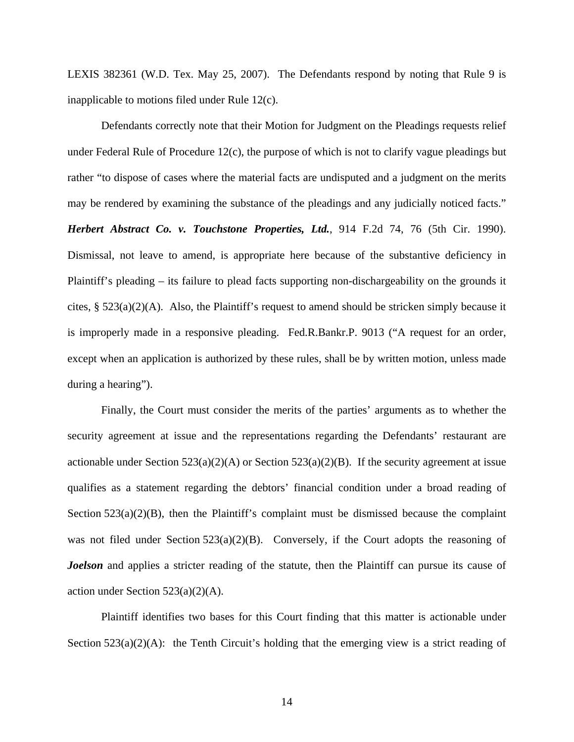LEXIS 382361 (W.D. Tex. May 25, 2007). The Defendants respond by noting that Rule 9 is inapplicable to motions filed under Rule 12(c).

Defendants correctly note that their Motion for Judgment on the Pleadings requests relief under Federal Rule of Procedure 12(c), the purpose of which is not to clarify vague pleadings but rather "to dispose of cases where the material facts are undisputed and a judgment on the merits may be rendered by examining the substance of the pleadings and any judicially noticed facts." *Herbert Abstract Co. v. Touchstone Properties, Ltd.*, 914 F.2d 74, 76 (5th Cir. 1990). Dismissal, not leave to amend, is appropriate here because of the substantive deficiency in Plaintiff's pleading – its failure to plead facts supporting non-dischargeability on the grounds it cites, § 523(a)(2)(A). Also, the Plaintiff's request to amend should be stricken simply because it is improperly made in a responsive pleading. Fed.R.Bankr.P. 9013 ("A request for an order, except when an application is authorized by these rules, shall be by written motion, unless made during a hearing").

Finally, the Court must consider the merits of the parties' arguments as to whether the security agreement at issue and the representations regarding the Defendants' restaurant are actionable under Section  $523(a)(2)(A)$  or Section  $523(a)(2)(B)$ . If the security agreement at issue qualifies as a statement regarding the debtors' financial condition under a broad reading of Section  $523(a)(2)(B)$ , then the Plaintiff's complaint must be dismissed because the complaint was not filed under Section 523(a)(2)(B). Conversely, if the Court adopts the reasoning of *Joelson* and applies a stricter reading of the statute, then the Plaintiff can pursue its cause of action under Section  $523(a)(2)(A)$ .

Plaintiff identifies two bases for this Court finding that this matter is actionable under Section  $523(a)(2)(A)$ : the Tenth Circuit's holding that the emerging view is a strict reading of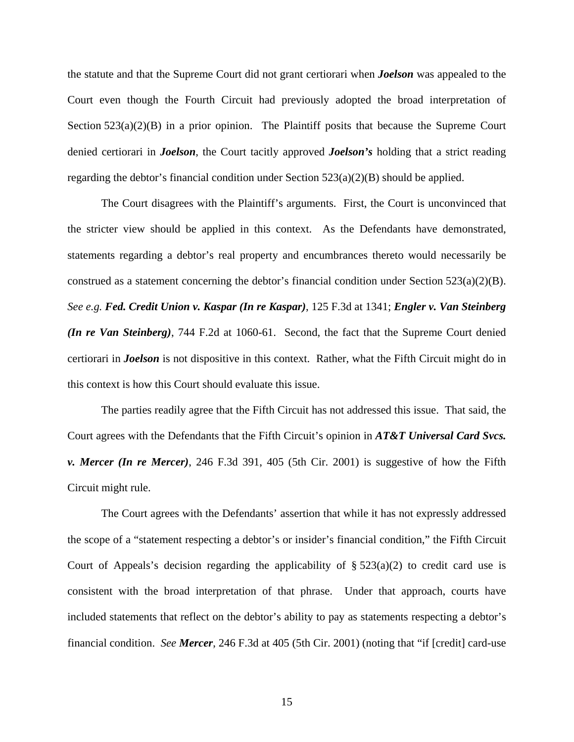the statute and that the Supreme Court did not grant certiorari when *Joelson* was appealed to the Court even though the Fourth Circuit had previously adopted the broad interpretation of Section 523(a)(2)(B) in a prior opinion. The Plaintiff posits that because the Supreme Court denied certiorari in *Joelson*, the Court tacitly approved *Joelson's* holding that a strict reading regarding the debtor's financial condition under Section  $523(a)(2)(B)$  should be applied.

The Court disagrees with the Plaintiff's arguments. First, the Court is unconvinced that the stricter view should be applied in this context. As the Defendants have demonstrated, statements regarding a debtor's real property and encumbrances thereto would necessarily be construed as a statement concerning the debtor's financial condition under Section 523(a)(2)(B). *See e.g. Fed. Credit Union v. Kaspar (In re Kaspar)*, 125 F.3d at 1341; *Engler v. Van Steinberg (In re Van Steinberg)*, 744 F.2d at 1060-61. Second, the fact that the Supreme Court denied certiorari in *Joelson* is not dispositive in this context. Rather, what the Fifth Circuit might do in this context is how this Court should evaluate this issue.

The parties readily agree that the Fifth Circuit has not addressed this issue. That said, the Court agrees with the Defendants that the Fifth Circuit's opinion in *AT&T Universal Card Svcs. v. Mercer (In re Mercer)*, 246 F.3d 391, 405 (5th Cir. 2001) is suggestive of how the Fifth Circuit might rule.

The Court agrees with the Defendants' assertion that while it has not expressly addressed the scope of a "statement respecting a debtor's or insider's financial condition," the Fifth Circuit Court of Appeals's decision regarding the applicability of  $\S 523(a)(2)$  to credit card use is consistent with the broad interpretation of that phrase. Under that approach, courts have included statements that reflect on the debtor's ability to pay as statements respecting a debtor's financial condition. *See Mercer*, 246 F.3d at 405 (5th Cir. 2001) (noting that "if [credit] card-use